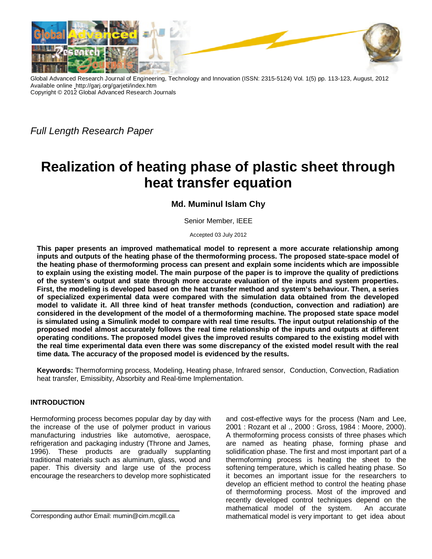

Global Advanced Research Journal of Engineering, Technology and Innovation (ISSN: 2315-5124) Vol. 1(5) pp. 113-123, August, 2012 Available online http://garj.org/garjeti/index.htm Copyright © 2012 Global Advanced Research Journals

*Full Length Research Paper*

# **Realization of heating phase of plastic sheet through heat transfer equation**

## **Md. Muminul Islam Chy**

Senior Member, IEEE

Accepted 03 July 2012

**This paper presents an improved mathematical model to represent a more accurate relationship among inputs and outputs of the heating phase of the thermoforming process. The proposed state-space model of the heating phase of thermoforming process can present and explain some incidents which are impossible to explain using the existing model. The main purpose of the paper is to improve the quality of predictions of the system's output and state through more accurate evaluation of the inputs and system properties. First, the modeling is developed based on the heat transfer method and system's behaviour. Then, a series of specialized experimental data were compared with the simulation data obtained from the developed model to validate it. All three kind of heat transfer methods (conduction, convection and radiation) are considered in the development of the model of a thermoforming machine. The proposed state space model is simulated using a Simulink model to compare with real time results. The input output relationship of the proposed model almost accurately follows the real time relationship of the inputs and outputs at different operating conditions. The proposed model gives the improved results compared to the existing model with the real time experimental data even there was some discrepancy of the existed model result with the real time data. The accuracy of the proposed model is evidenced by the results.** 

**Keywords:** Thermoforming process, Modeling, Heating phase, Infrared sensor, Conduction, Convection, Radiation heat transfer, Emissibity, Absorbity and Real-time Implementation.

### **INTRODUCTION**

Hermoforming process becomes popular day by day with the increase of the use of polymer product in various manufacturing industries like automotive, aerospace, refrigeration and packaging industry (Throne and James, 1996). These products are gradually supplanting traditional materials such as aluminum, glass, wood and paper. This diversity and large use of the process encourage the researchers to develop more sophisticated

Corresponding author Email: mumin@cim.mcgill.ca

and cost-effective ways for the process (Nam and Lee, 2001 : Rozant et al ., 2000 : Gross, 1984 : Moore, 2000). A thermoforming process consists of three phases which are named as heating phase, forming phase and solidification phase. The first and most important part of a thermoforming process is heating the sheet to the softening temperature, which is called heating phase. So it becomes an important issue for the researchers to develop an efficient method to control the heating phase of thermoforming process. Most of the improved and recently developed control techniques depend on the mathematical model of the system. An accurate mathematical model is very important to get idea about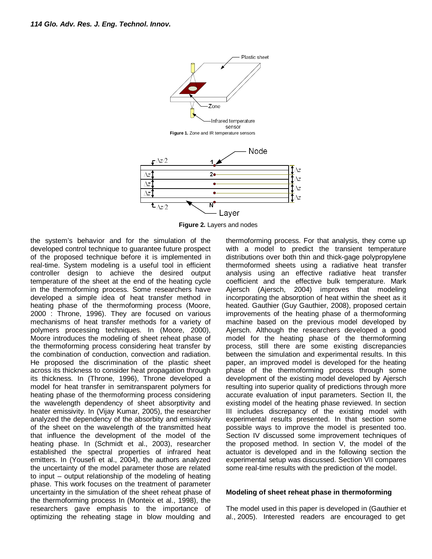

**Figure 2.** Layers and nodes

the system's behavior and for the simulation of the developed control technique to guarantee future prospect of the proposed technique before it is implemented in real-time. System modeling is a useful tool in efficient controller design to achieve the desired output temperature of the sheet at the end of the heating cycle in the thermoforming process. Some researchers have developed a simple idea of heat transfer method in heating phase of the thermoforming process (Moore, 2000 : Throne, 1996). They are focused on various mechanisms of heat transfer methods for a variety of polymers processing techniques. In (Moore, 2000), Moore introduces the modeling of sheet reheat phase of the thermoforming process considering heat transfer by the combination of conduction, convection and radiation. He proposed the discrimination of the plastic sheet across its thickness to consider heat propagation through its thickness. In (Throne, 1996), Throne developed a model for heat transfer in semitransparent polymers for heating phase of the thermoforming process considering the wavelength dependency of sheet absorptivity and heater emissivity. In (Vijay Kumar, 2005), the researcher analyzed the dependency of the absorbity and emissivity of the sheet on the wavelength of the transmitted heat that influence the development of the model of the heating phase. In (Schmidt et al., 2003), researcher established the spectral properties of infrared heat emitters. In (Yousefi et al., 2004), the authors analyzed the uncertainty of the model parameter those are related to input – output relationship of the modeling of heating phase. This work focuses on the treatment of parameter uncertainty in the simulation of the sheet reheat phase of the thermoforming process In (Monteix et al., 1998), the researchers gave emphasis to the importance of optimizing the reheating stage in blow moulding and

thermoforming process. For that analysis, they come up with a model to predict the transient temperature distributions over both thin and thick-gage polypropylene thermoformed sheets using a radiative heat transfer analysis using an effective radiative heat transfer coefficient and the effective bulk temperature. Mark Ajersch (Ajersch, 2004) improves that modeling incorporating the absorption of heat within the sheet as it heated. Gauthier (Guy Gauthier, 2008), proposed certain improvements of the heating phase of a thermoforming machine based on the previous model developed by Ajersch. Although the researchers developed a good model for the heating phase of the thermoforming process, still there are some existing discrepancies between the simulation and experimental results. In this paper, an improved model is developed for the heating phase of the thermoforming process through some development of the existing model developed by Ajersch resulting into superior quality of predictions through more accurate evaluation of input parameters. Section II, the existing model of the heating phase reviewed. In section III includes discrepancy of the existing model with experimental results presented. In that section some possible ways to improve the model is presented too. Section IV discussed some improvement techniques of the proposed method. In section V, the model of the actuator is developed and in the following section the experimental setup was discussed. Section VII compares some real-time results with the prediction of the model.

#### **Modeling of sheet reheat phase in thermoforming**

The model used in this paper is developed in (Gauthier et al., 2005). Interested readers are encouraged to get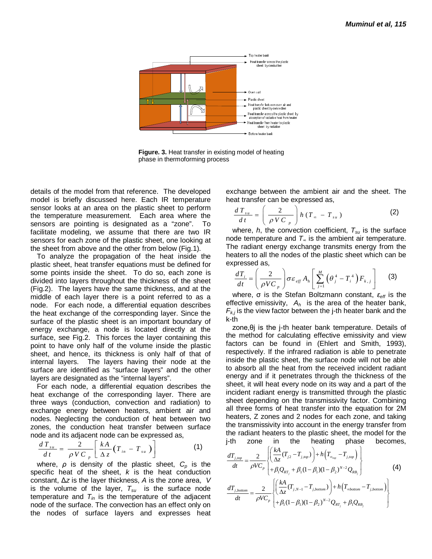

**Figure. 3.** Heat transfer in existing model of heating phase in thermoforming process

details of the model from that reference. The developed model is briefly discussed here. Each IR temperature sensor looks at an area on the plastic sheet to perform the temperature measurement. Each area where the sensors are pointing is designated as a "zone". To facilitate modeling, we assume that there are two IR sensors for each zone of the plastic sheet, one looking at the sheet from above and the other from below (Fig.1).

To analyze the propagation of the heat inside the plastic sheet, heat transfer equations must be defined for some points inside the sheet. To do so, each zone is divided into layers throughout the thickness of the sheet (Fig.2). The layers have the same thickness, and at the middle of each layer there is a point referred to as a node. For each node, a differential equation describes the heat exchange of the corresponding layer. Since the surface of the plastic sheet is an important boundary of energy exchange, a node is located directly at the surface, see Fig.2. This forces the layer containing this point to have only half of the volume inside the plastic sheet, and hence, its thickness is only half of that of internal layers. The layers having their node at the surface are identified as "surface layers" and the other layers are designated as the "internal layers".

For each node, a differential equation describes the heat exchange of the corresponding layer. There are three ways (conduction, convection and radiation) to exchange energy between heaters, ambient air and nodes. Neglecting the conduction of heat between two zones, the conduction heat transfer between surface node and its adjacent node can be expressed as,

$$
\frac{dT_{su}}{dt} = \frac{2}{\rho V C_{p}} \left[ \frac{kA}{\Delta z} \left( T_{in} - T_{su} \right) \right]
$$
 (1)

where, *ρ* is density of the plastic sheet, *C<sup>p</sup>* is the specific heat of the sheet, *k* is the heat conduction constant, Δ*z* is the layer thickness, *A* is the zone area, *V* is the volume of the layer, *Tsu* is the surface node temperature and  $T_{in}$  is the temperature of the adjacent node of the surface. The convection has an effect only on the nodes of surface layers and expresses heat exchange between the ambient air and the sheet. The heat transfer can be expressed as,

$$
\frac{d\,T_{su}}{dt} = \left(\frac{2}{\rho\,V\,C_{p}}\right)h\left(T_{\infty} - T_{su}\right) \tag{2}
$$

where, *h*, the convection coefficient, *Tsu* is the surface node temperature and *T<sup>∞</sup>* is the ambient air temperature. The radiant energy exchange transmits energy from the heaters to all the nodes of the plastic sheet which can be expressed as,

$$
\frac{dT_i}{dt} = \left(\frac{2}{\rho V C_p}\right) \sigma \varepsilon_{eff} A_h \left[\sum_{j=1}^M \left(\theta_j^4 - T_i^4\right) F_{k,j}\right]
$$
 (3)

where, σ is the Stefan Boltzmann constant, *εeff* is the effective emissivity,  $A_h$  is the area of the heater bank,  $F_{k,j}$  is the view factor between the j-th heater bank and the k-th

zone,θj is the j-th heater bank temperature. Details of the method for calculating effective emissivity and view factors can be found in (Ehlert and Smith, 1993), respectively. If the infrared radiation is able to penetrate inside the plastic sheet, the surface node will not be able to absorb all the heat from the received incident radiant energy and if it penetrates through the thickness of the sheet, it will heat every node on its way and a part of the incident radiant energy is transmitted through the plastic sheet depending on the transmissivity factor. Combining all three forms of heat transfer into the equation for 2M heaters, Z zones and 2 nodes for each zone, and taking the transmissivity into account in the energy transfer from the radiant heaters to the plastic sheet, the model for the j-th zone in the heating phase becomes,

$$
\frac{dT_{j,top}}{dt} = \frac{2}{\rho V C_p} \left\{ \frac{kA}{\Delta z} (T_{j2} - T_{j,top}) + h (T_{\infty_{top}} - T_{j,top}) \right\}
$$
\n
$$
\frac{dT_{j,bottom}}{dt} = \frac{2}{\rho V C_p} \left\{ \frac{kA}{\Delta z} (T_{j,N-1} - T_{j,bottom}) + h (T_{\infty_{bottom}} - T_{j,bottom}) \right\}
$$
\n
$$
\frac{dT_{j,bottom}}{dt} = \frac{2}{\rho V C_p} \left\{ \frac{kA}{\Delta z} (T_{j,N-1} - T_{j,bottom}) + h (T_{\infty_{bottom}} - T_{j,bottom}) \right\}
$$
\n
$$
\left\{ \frac{kA}{\Delta z} (T_{j,N-1} - T_{j,bottom}) + h (T_{\infty_{bottom}} - T_{j,bottom}) \right\}
$$
\n(4)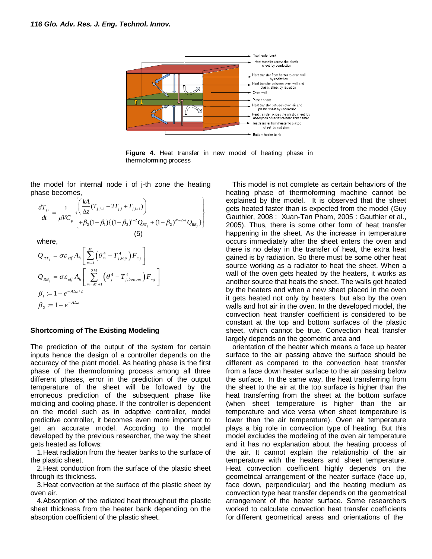

**Figure 4.** Heat transfer in new model of heating phase in thermoforming process

the model for internal node i of j-th zone the heating phase becomes,

$$
\frac{dT_{j,i}}{dt} = \frac{1}{\rho V C_p} \left\{ \frac{kA}{\Delta z} (T_{j,i-1} - 2T_{j,i} + T_{j,i+1}) \right\} + \beta_2 (1 - \beta_1) \left\{ (1 - \beta_2)^{i-2} Q_{RT_j} + (1 - \beta_2)^{N-2-i} Q_{RB_j} \right\}
$$
\n(5)

where,

$$
Q_{RT_j} = \sigma \varepsilon_{eff} A_h \left[ \sum_{m=1}^{M} \left( \theta_m^4 - T_{j,top}^4 \right) F_{mj} \right]
$$
  
\n
$$
Q_{RB_j} = \sigma \varepsilon_{eff} A_h \left[ \sum_{m=M+1}^{2M} \left( \theta_j^4 - T_{j,bottom}^4 \right) F_{mj} \right]
$$
  
\n
$$
\beta_1 := 1 - e^{-A\Delta z/2}
$$
  
\n
$$
\beta_2 := 1 - e^{-A\Delta z}
$$

#### **Shortcoming of The Existing Modeling**

The prediction of the output of the system for certain inputs hence the design of a controller depends on the accuracy of the plant model. As heating phase is the first phase of the thermoforming process among all three different phases, error in the prediction of the output temperature of the sheet will be followed by the erroneous prediction of the subsequent phase like molding and cooling phase. If the controller is dependent on the model such as in adaptive controller, model predictive controller, it becomes even more important to get an accurate model. According to the model developed by the previous researcher, the way the sheet gets heated as follows:

1.Heat radiation from the heater banks to the surface of the plastic sheet.

2.Heat conduction from the surface of the plastic sheet through its thickness.

3.Heat convection at the surface of the plastic sheet by oven air.

4.Absorption of the radiated heat throughout the plastic sheet thickness from the heater bank depending on the absorption coefficient of the plastic sheet.

This model is not complete as certain behaviors of the heating phase of thermoforming machine cannot be explained by the model. It is observed that the sheet gets heated faster than is expected from the model (Guy Gauthier, 2008 : Xuan-Tan Pham, 2005 : Gauthier et al., 2005). Thus, there is some other form of heat transfer happening in the sheet. As the increase in temperature occurs immediately after the sheet enters the oven and there is no delay in the transfer of heat, the extra heat gained is by radiation. So there must be some other heat source working as a radiator to heat the sheet. When a wall of the oven gets heated by the heaters, it works as another source that heats the sheet. The walls get heated by the heaters and when a new sheet placed in the oven it gets heated not only by heaters, but also by the oven walls and hot air in the oven. In the developed model, the convection heat transfer coefficient is considered to be constant at the top and bottom surfaces of the plastic sheet, which cannot be true. Convection heat transfer largely depends on the geometric area and

orientation of the heater which means a face up heater surface to the air passing above the surface should be different as compared to the convection heat transfer from a face down heater surface to the air passing below the surface. In the same way, the heat transferring from the sheet to the air at the top surface is higher than the heat transferring from the sheet at the bottom surface (when sheet temperature is higher than the air temperature and vice versa when sheet temperature is lower than the air temperature). Oven air temperature plays a big role in convection type of heating. But this model excludes the modeling of the oven air temperature and it has no explanation about the heating process of the air. It cannot explain the relationship of the air temperature with the heaters and sheet temperature. Heat convection coefficient highly depends on the geometrical arrangement of the heater surface (face up, face down, perpendicular) and the heating medium as convection type heat transfer depends on the geometrical arrangement of the heater surface. Some researchers worked to calculate convection heat transfer coefficients for different geometrical areas and orientations of the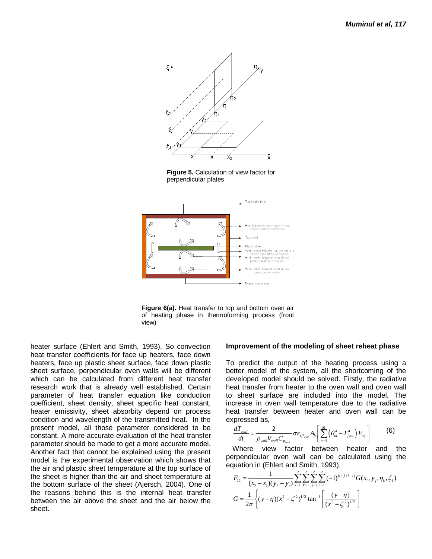

**Figure 5.** Calculation of view factor for perpendicular plates



**Figure 6(a).** Heat transfer to top and bottom oven air of heating phase in thermoforming process (front view)

heater surface (Ehlert and Smith, 1993). So convection heat transfer coefficients for face up heaters, face down heaters, face up plastic sheet surface, face down plastic sheet surface, perpendicular oven walls will be different which can be calculated from different heat transfer research work that is already well established. Certain parameter of heat transfer equation like conduction coefficient, sheet density, sheet specific heat constant, heater emissivity, sheet absorbity depend on process condition and wavelength of the transmitted heat. In the present model, all those parameter considered to be constant. A more accurate evaluation of the heat transfer parameter should be made to get a more accurate model. Another fact that cannot be explained using the present model is the experimental observation which shows that the air and plastic sheet temperature at the top surface of the sheet is higher than the air and sheet temperature at the bottom surface of the sheet (Ajersch, 2004). One of the reasons behind this is the internal heat transfer between the air above the sheet and the air below the sheet.

#### **Improvement of the modeling of sheet reheat phase**

To predict the output of the heating process using a better model of the system, all the shortcoming of the developed model should be solved. Firstly, the radiative heat transfer from heater to the oven wall and oven wall to sheet surface are included into the model. The increase in oven wall temperature due to the radiative heat transfer between heater and oven wall can be expressed as,

$$
\frac{dT_{wall}}{dt} = \frac{2}{\rho_{wall} V_{wall} C_{p_{wall}}} \sigma \varepsilon_{eff_{wall}} A_{h} \left[ \sum_{m=1}^{M} \left( \theta_{m}^{4} - T_{j,su}^{4} \right) F_{mj} \right]
$$
(6)

Where view factor between heater and the perpendicular oven wall can be calculated using the equation in (Ehlert and Smith, 1993).

$$
F_{12} = \frac{1}{(x_2 - x_1)(y_2 - y_1)} \sum_{l=1}^{2} \sum_{k=1}^{2} \sum_{j=1}^{2} \sum_{i=1}^{2} (-1)^{(i+j+k+l)} G(x_i, y_j, \eta_k, \zeta_l)
$$
  

$$
G = \frac{1}{2\pi} \left\{ (y - \eta)(x^2 + \zeta^2)^{1/2} \tan^{-1} \left[ \frac{(y - \eta)}{(x^2 + \zeta^2)^{1/2}} \right] \right\}
$$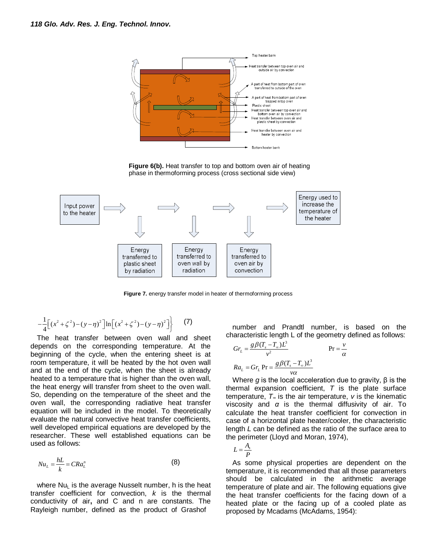

**Figure 6(b).** Heat transfer to top and bottom oven air of heating phase in thermoforming process (cross sectional side view)



**Figure 7.** energy transfer model in heater of thermoforming process

$$
-\frac{1}{4}\left[ (x^2 + \zeta^2) - (y - \eta)^2 \right] \ln \left[ (x^2 + \zeta^2) - (y - \eta)^2 \right] \Bigg\}
$$
 (7)

The heat transfer between oven wall and sheet depends on the corresponding temperature. At the beginning of the cycle, when the entering sheet is at room temperature, it will be heated by the hot oven wall and at the end of the cycle, when the sheet is already heated to a temperature that is higher than the oven wall, the heat energy will transfer from sheet to the oven wall. So, depending on the temperature of the sheet and the oven wall, the corresponding radiative heat transfer equation will be included in the model. To theoretically evaluate the natural convective heat transfer coefficients, well developed empirical equations are developed by the researcher. These well established equations can be used as follows:

$$
Nu_{L} = \frac{hL}{k} = CRa_{L}^{n}
$$
\n(8)

where  $Nu<sub>L</sub>$  is the average Nusselt number, h is the heat transfer coefficient for convection, *k* is the thermal conductivity of air**,** and C and n are constants. The Rayleigh number, defined as the product of Grashof

number and Prandtl number, is based on the characteristic length L of the geometry defined as follows:

$$
Gr_L = \frac{g\beta(T_s - T_\infty)L^3}{v^2} \qquad \qquad \text{Pr} = \frac{v}{\alpha}
$$
  

$$
Ra_L = Gr_L \Pr = \frac{g\beta(T_s - T_\infty)L^3}{v\alpha}
$$

Where *g* is the local acceleration due to gravity, β is the thermal expansion coefficient, *T* is the plate surface temperature, *T∞* is the air temperature, *v* is the kinematic viscosity and *α* is the thermal diffusivity of air. To calculate the heat transfer coefficient for convection in case of a horizontal plate heater/cooler, the characteristic length *L* can be defined as the ratio of the surface area to the perimeter (Lloyd and Moran, 1974),

$$
L=\frac{A_s}{P}
$$

As some physical properties are dependent on the temperature, it is recommended that all those parameters should be calculated in the arithmetic average temperature of plate and air. The following equations give the heat transfer coefficients for the facing down of a heated plate or the facing up of a cooled plate as proposed by Mcadams (McAdams, 1954):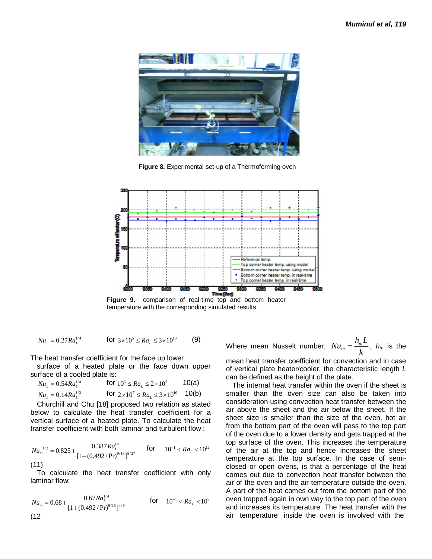

**Figure 8.** Experimental set-up of a Thermoforming oven



**Figure 9.** comparison of real-time top and bottom heater temperature with the corresponding simulated results.

 $Nu_{L} = 0.27 Ra_{L}^{1/4}$  for  $3 \times 10^{5} \le Ra_{L} \le 3 \times 10^{10}$  (9)

The heat transfer coefficient for the face up lower

surface of a heated plate or the face down upper surface of a cooled plate is:

$$
Nu_{L} = 0.54Ra_{L}^{1/4}
$$
 for  $10^{5} \le Ra_{L} \le 2 \times 10^{7}$  10(a)  
\n
$$
Nu_{L} = 0.14Ra_{L}^{1/3}
$$
 for  $2 \times 10^{7} \le Ra_{L} \le 3 \times 10^{10}$  10(b)

Churchill and Chu [18] proposed two relation as stated below to calculate the heat transfer coefficient for a vertical surface of a heated plate. To calculate the heat transfer coefficient with both laminar and turbulent flow :

$$
Nu_m^{-1/2} = 0.825 + \frac{0.387 Ra_L^{1/6}}{[1 + (0.492/Pr)^{9/16}]^{8/27}}
$$
 for  $10^{-1} < Ra_L < 10^{12}$   
(11)

To calculate the heat transfer coefficient with only laminar flow:

$$
Nu_m = 0.68 + \frac{0.67Ra_L^{1/4}}{[1 + (0.492/Pr)^{9/16}]^{4/9}}
$$
 for  $10^{-1} < Ra_L < 10^9$   
(12)

Where mean Nusselt number,  $Nu_{m} = \frac{h_{m}L}{L}$ *k*  $=\frac{n_{m}^{2}}{l}$ ,  $h_{m}$  is the

mean heat transfer coefficient for convection and in case of vertical plate heater/cooler, the characteristic length *L* can be defined as the height of the plate.

The internal heat transfer within the oven if the sheet is smaller than the oven size can also be taken into consideration using convection heat transfer between the air above the sheet and the air below the sheet. If the sheet size is smaller than the size of the oven, hot air from the bottom part of the oven will pass to the top part of the oven due to a lower density and gets trapped at the top surface of the oven. This increases the temperature of the air at the top and hence increases the sheet temperature at the top surface. In the case of semiclosed or open ovens, is that a percentage of the heat comes out due to convection heat transfer between the air of the oven and the air temperature outside the oven. A part of the heat comes out from the bottom part of the oven trapped again in own way to the top part of the oven and increases its temperature. The heat transfer with the air temperature inside the oven is involved with the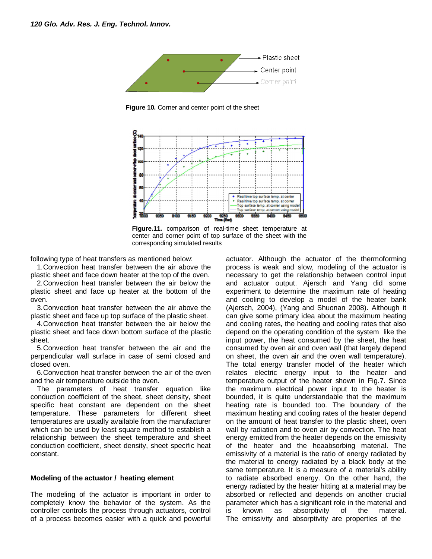

**Figure 10.** Corner and center point of the sheet



**Figure.11.** comparison of real-time sheet temperature at center and corner point of top surface of the sheet with the corresponding simulated results

following type of heat transfers as mentioned below:

1.Convection heat transfer between the air above the plastic sheet and face down heater at the top of the oven.

2.Convection heat transfer between the air below the plastic sheet and face up heater at the bottom of the oven.

3.Convection heat transfer between the air above the plastic sheet and face up top surface of the plastic sheet.

4.Convection heat transfer between the air below the plastic sheet and face down bottom surface of the plastic sheet.

5.Convection heat transfer between the air and the perpendicular wall surface in case of semi closed and closed oven.

6.Convection heat transfer between the air of the oven and the air temperature outside the oven.

The parameters of heat transfer equation like conduction coefficient of the sheet, sheet density, sheet specific heat constant are dependent on the sheet temperature. These parameters for different sheet temperatures are usually available from the manufacturer which can be used by least square method to establish a relationship between the sheet temperature and sheet conduction coefficient, sheet density, sheet specific heat constant.

#### **Modeling of the actuator / heating element**

The modeling of the actuator is important in order to completely know the behavior of the system. As the controller controls the process through actuators, control of a process becomes easier with a quick and powerful

actuator. Although the actuator of the thermoforming process is weak and slow, modeling of the actuator is necessary to get the relationship between control input and actuator output. Ajersch and Yang did some experiment to determine the maximum rate of heating and cooling to develop a model of the heater bank (Ajersch, 2004), (Yang and Shuonan 2008). Although it can give some primary idea about the maximum heating and cooling rates, the heating and cooling rates that also depend on the operating condition of the system like the input power, the heat consumed by the sheet, the heat consumed by oven air and oven wall (that largely depend on sheet, the oven air and the oven wall temperature). The total energy transfer model of the heater which relates electric energy input to the heater and temperature output of the heater shown in Fig.7. Since the maximum electrical power input to the heater is bounded, it is quite understandable that the maximum heating rate is bounded too. The boundary of the maximum heating and cooling rates of the heater depend on the amount of heat transfer to the plastic sheet, oven wall by radiation and to oven air by convection. The heat energy emitted from the heater depends on the emissivity of the heater and the heaabsorbing material. The emissivity of a material is the ratio of energy radiated by the material to energy radiated by a black body at the same temperature. It is a measure of a material's ability to radiate absorbed energy. On the other hand, the energy radiated by the heater hitting at a material may be absorbed or reflected and depends on another crucial parameter which has a significant role in the material and is known as absorptivity of the material. The emissivity and absorptivity are properties of the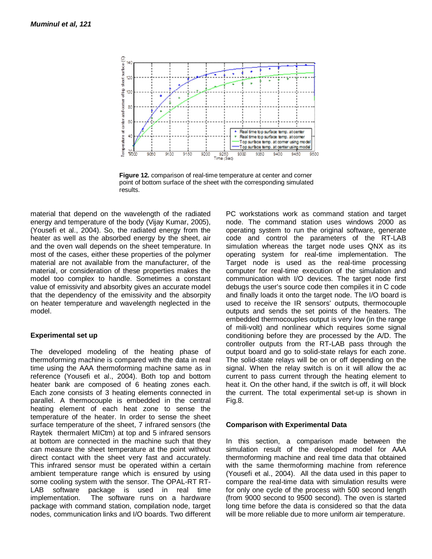

**Figure 12.** comparison of real-time temperature at center and corner point of bottom surface of the sheet with the corresponding simulated results.

material that depend on the wavelength of the radiated energy and temperature of the body (Vijay Kumar, 2005), (Yousefi et al., 2004). So, the radiated energy from the heater as well as the absorbed energy by the sheet, air and the oven wall depends on the sheet temperature. In most of the cases, either these properties of the polymer material are not available from the manufacturer, of the material, or consideration of these properties makes the model too complex to handle. Sometimes a constant value of emissivity and absorbity gives an accurate model that the dependency of the emissivity and the absorpity on heater temperature and wavelength neglected in the model.

#### **Experimental set up**

The developed modeling of the heating phase of thermoforming machine is compared with the data in real time using the AAA thermoforming machine same as in reference (Yousefi et al., 2004). Both top and bottom heater bank are composed of 6 heating zones each. Each zone consists of 3 heating elements connected in parallel. A thermocouple is embedded in the central heating element of each heat zone to sense the temperature of the heater. In order to sense the sheet surface temperature of the sheet, 7 infrared sensors (the Raytek thermalert MICtm) at top and 5 infrared sensors at bottom are connected in the machine such that they can measure the sheet temperature at the point without direct contact with the sheet very fast and accurately. This infrared sensor must be operated within a certain ambient temperature range which is ensured by using some cooling system with the sensor. The OPAL-RT RT-LAB software package is used in real time implementation. The software runs on a hardware package with command station, compilation node, target nodes, communication links and I/O boards. Two different

PC workstations work as command station and target node. The command station uses windows 2000 as operating system to run the original software, generate code and control the parameters of the RT-LAB simulation whereas the target node uses QNX as its operating system for real-time implementation. The Target node is used as the real-time processing computer for real-time execution of the simulation and communication with I/O devices. The target node first debugs the user's source code then compiles it in C code and finally loads it onto the target node. The I/O board is used to receive the IR sensors' outputs, thermocouple outputs and sends the set points of the heaters. The embedded thermocouples output is very low (in the range of mili-volt) and nonlinear which requires some signal conditioning before they are processed by the A/D. The controller outputs from the RT-LAB pass through the output board and go to solid-state relays for each zone. The solid-state relays will be on or off depending on the signal. When the relay switch is on it will allow the ac current to pass current through the heating element to heat it. On the other hand, if the switch is off, it will block the current. The total experimental set-up is shown in Fig.8.

#### **Comparison with Experimental Data**

In this section, a comparison made between the simulation result of the developed model for AAA thermoforming machine and real time data that obtained with the same thermoforming machine from reference (Yousefi et al., 2004). All the data used in this paper to compare the real-time data with simulation results were for only one cycle of the process with 500 second length (from 9000 second to 9500 second). The oven is started long time before the data is considered so that the data will be more reliable due to more uniform air temperature.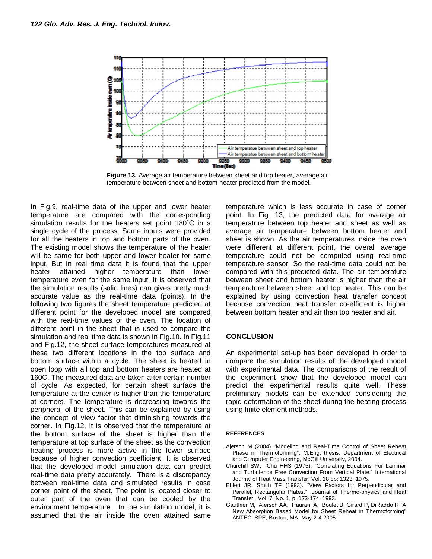

**Figure 13.** Average air temperature between sheet and top heater, average air temperature between sheet and bottom heater predicted from the model.

In Fig.9, real-time data of the upper and lower heater temperature are compared with the corresponding simulation results for the heaters set point 180˚C in a single cycle of the process. Same inputs were provided for all the heaters in top and bottom parts of the oven. The existing model shows the temperature of the heater will be same for both upper and lower heater for same input. But in real time data it is found that the upper heater attained higher temperature than lower temperature even for the same input. It is observed that the simulation results (solid lines) can gives pretty much accurate value as the real-time data (points). In the following two figures the sheet temperature predicted at different point for the developed model are compared with the real-time values of the oven. The location of different point in the sheet that is used to compare the simulation and real time data is shown in Fig.10. In Fig.11 and Fig.12, the sheet surface temperatures measured at these two different locations in the top surface and bottom surface within a cycle. The sheet is heated in open loop with all top and bottom heaters are heated at 160C. The measured data are taken after certain number of cycle. As expected, for certain sheet surface the temperature at the center is higher than the temperature at corners. The temperature is decreasing towards the peripheral of the sheet. This can be explained by using the concept of view factor that diminishing towards the corner. In Fig.12, It is observed that the temperature at the bottom surface of the sheet is higher than the temperature at top surface of the sheet as the convection heating process is more active in the lower surface because of higher convection coefficient. It is observed that the developed model simulation data can predict real-time data pretty accurately. There is a discrepancy between real-time data and simulated results in case corner point of the sheet. The point is located closer to outer part of the oven that can be cooled by the environment temperature. In the simulation model, it is assumed that the air inside the oven attained same

temperature which is less accurate in case of corner point. In Fig. 13, the predicted data for average air temperature between top heater and sheet as well as average air temperature between bottom heater and sheet is shown. As the air temperatures inside the oven were different at different point, the overall average temperature could not be computed using real-time temperature sensor. So the real-time data could not be compared with this predicted data. The air temperature between sheet and bottom heater is higher than the air temperature between sheet and top heater. This can be explained by using convection heat transfer concept because convection heat transfer co-efficient is higher between bottom heater and air than top heater and air.

#### **CONCLUSION**

An experimental set-up has been developed in order to compare the simulation results of the developed model with experimental data. The comparisons of the result of the experiment show that the developed model can predict the experimental results quite well. These preliminary models can be extended considering the rapid deformation of the sheet during the heating process using finite element methods.

#### **REFERENCES**

- Ajersch M (2004) "Modeling and Real-Time Control of Sheet Reheat Phase in Thermoforming", M.Eng. thesis, Department of Electrical and Computer Engineering, McGill University, 2004.
- Churchill SW, Chu HHS (1975). "Correlating Equations For Laminar and Turbulence Free Convection From Vertical Plate." International Journal of Heat Mass Transfer, Vol. 18 pp: 1323, 1975.
- Ehlert JR, Smith TF (1993). "View Factors for Perpendicular and Parallel, Rectangular Plates." Journal of Thermo-physics and Heat Transfer, Vol. 7, No. 1, p. 173-174, 1993.
- Gauthier M, Ajersch AA, Haurani A, Boulet B, Girard P, DiRaddo R "A New Absorption Based Model for Sheet Reheat in Thermoforming" ANTEC. SPE, Boston, MA, May 2-4 2005.